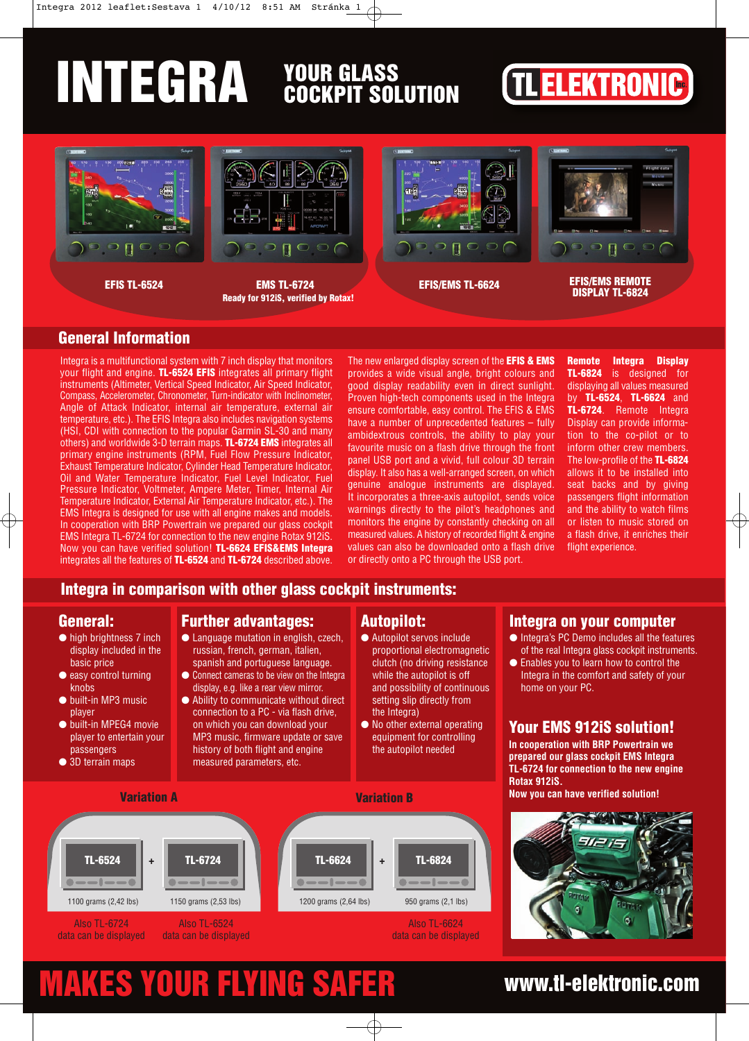# INTEGRA YOUR GLASS

# **TLELEKTRONIC**



### **General Information**

Integra is a multifunctional system with 7 inch display that monitors your flight and engine. **TL-6524 EFIS** integrates all primary flight instruments (Altimeter, Vertical Speed Indicator, Air Speed Indicator, Compass, Accelerometer, Chronometer, Turn-indicator with Inclinometer, Angle of Attack Indicator, internal air temperature, external air temperature, etc.). The EFIS Integra also includes navigation systems (HSI, CDI with connection to the popular Garmin SL-30 and many others) and worldwide 3-D terrain maps. **TL-6724 EMS** integrates all primary engine instruments (RPM, Fuel Flow Pressure Indicator, Exhaust Temperature Indicator, Cylinder Head Temperature Indicator, Oil and Water Temperature Indicator, Fuel Level Indicator, Fuel Pressure Indicator, Voltmeter, Ampere Meter, Timer, Internal Air Temperature Indicator, External Air Temperature Indicator, etc.). The EMS Integra is designed for use with all engine makes and models. In cooperation with BRP Powertrain we prepared our glass cockpit EMS Integra TL-6724 for connection to the new engine Rotax 912iS. Now you can have verified solution! **TL-6624 EFIS&EMS Integra**  integrates all the features of **TL-6524** and **TL-6724** described above.

The new enlarged display screen of the **EFIS & EMS** provides a wide visual angle, bright colours and good display readability even in direct sunlight. Proven high-tech components used in the Integra ensure comfortable, easy control. The EFIS & EMS have a number of unprecedented features – fully ambidextrous controls, the ability to play your favourite music on a flash drive through the front panel USB port and a vivid, full colour 3D terrain display. It also has a well-arranged screen, on which genuine analogue instruments are displayed. It incorporates a three-axis autopilot, sends voice warnings directly to the pilot's headphones and monitors the engine by constantly checking on all measured values. A history of recorded flight & engine values can also be downloaded onto a flash drive or directly onto a PC through the USB port.

**Remote Integra Display TL-6824** is designed for displaying all values measured by **TL-6524**, **TL-6624** and **TL-6724**. Remote Integra Display can provide information to the co-pilot or to inform other crew members. The low-profile of the **TL-6824** allows it to be installed into seat backs and by giving passengers flight information and the ability to watch films or listen to music stored on a flash drive, it enriches their flight experience.

### **Integra in comparison with other glass cockpit instruments:**

### **General:**

- high brightness 7 inch display included in the basic price
- easy control turning knobs
- built-in MP3 music player
- built-in MPEG4 movie player to entertain your passengers ● 3D terrain maps
- **Further advantages:**
- Language mutation in english, czech, russian, french, german, italien, spanish and portuguese language.
- Connect cameras to be view on the Integra display, e.g. like a rear view mirror.
- Ability to communicate without direct connection to a PC - via flash drive, on which you can download your MP3 music, firmware update or save history of both flight and engine measured parameters, etc.

#### **Autopilot:**

- Autopilot servos include proportional electromagnetic clutch (no driving resistance while the autopilot is off and possibility of continuous setting slip directly from the Integra)
- No other external operating equipment for controlling the autopilot needed



#### **Integra on your computer**

- Integra's PC Demo includes all the features of the real Integra glass cockpit instruments.
- Enables you to learn how to control the Integra in the comfort and safety of your home on your PC.

### **Your EMS 912iS solution!**

**In cooperation with BRP Powertrain we prepared our glass cockpit EMS Integra TL-6724 for connection to the new engine Rotax 912iS.** 

**Now you can have verified solution!**



## MAKES YOUR FLYING SAFER www.tl-elektronic.com